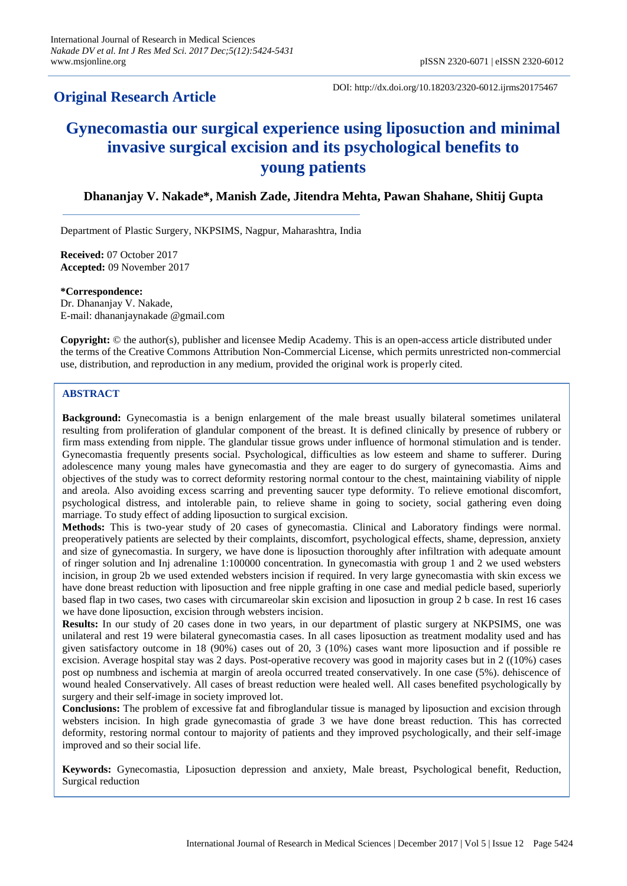# **Original Research Article**

DOI: http://dx.doi.org/10.18203/2320-6012.ijrms20175467

# **Gynecomastia our surgical experience using liposuction and minimal invasive surgical excision and its psychological benefits to young patients**

# **Dhananjay V. Nakade\*, Manish Zade, Jitendra Mehta, Pawan Shahane, Shitij Gupta**

Department of Plastic Surgery, NKPSIMS, Nagpur, Maharashtra, India

**Received:** 07 October 2017 **Accepted:** 09 November 2017

**\*Correspondence:** Dr. Dhananjay V. Nakade, E-mail: dhananjaynakade @gmail.com

**Copyright:** © the author(s), publisher and licensee Medip Academy. This is an open-access article distributed under the terms of the Creative Commons Attribution Non-Commercial License, which permits unrestricted non-commercial use, distribution, and reproduction in any medium, provided the original work is properly cited.

# **ABSTRACT**

**Background:** Gynecomastia is a benign enlargement of the male breast usually bilateral sometimes unilateral resulting from proliferation of glandular component of the breast. It is defined clinically by presence of rubbery or firm mass extending from nipple. The glandular tissue grows under influence of hormonal stimulation and is tender. Gynecomastia frequently presents social. Psychological, difficulties as low esteem and shame to sufferer. During adolescence many young males have gynecomastia and they are eager to do surgery of gynecomastia. Aims and objectives of the study was to correct deformity restoring normal contour to the chest, maintaining viability of nipple and areola. Also avoiding excess scarring and preventing saucer type deformity. To relieve emotional discomfort, psychological distress, and intolerable pain, to relieve shame in going to society, social gathering even doing marriage. To study effect of adding liposuction to surgical excision.

**Methods:** This is two-year study of 20 cases of gynecomastia. Clinical and Laboratory findings were normal. preoperatively patients are selected by their complaints, discomfort, psychological effects, shame, depression, anxiety and size of gynecomastia. In surgery, we have done is liposuction thoroughly after infiltration with adequate amount of ringer solution and Inj adrenaline 1:100000 concentration. In gynecomastia with group 1 and 2 we used websters incision, in group 2b we used extended websters incision if required. In very large gynecomastia with skin excess we have done breast reduction with liposuction and free nipple grafting in one case and medial pedicle based, superiorly based flap in two cases, two cases with circumareolar skin excision and liposuction in group 2 b case. In rest 16 cases we have done liposuction, excision through websters incision.

**Results:** In our study of 20 cases done in two years, in our department of plastic surgery at NKPSIMS, one was unilateral and rest 19 were bilateral gynecomastia cases. In all cases liposuction as treatment modality used and has given satisfactory outcome in 18 (90%) cases out of 20, 3 (10%) cases want more liposuction and if possible re excision. Average hospital stay was 2 days. Post-operative recovery was good in majority cases but in 2 ((10%) cases post op numbness and ischemia at margin of areola occurred treated conservatively. In one case (5%). dehiscence of wound healed Conservatively. All cases of breast reduction were healed well. All cases benefited psychologically by surgery and their self-image in society improved lot.

**Conclusions:** The problem of excessive fat and fibroglandular tissue is managed by liposuction and excision through websters incision. In high grade gynecomastia of grade 3 we have done breast reduction. This has corrected deformity, restoring normal contour to majority of patients and they improved psychologically, and their self-image improved and so their social life.

**Keywords:** Gynecomastia, Liposuction depression and anxiety, Male breast, Psychological benefit, Reduction, Surgical reduction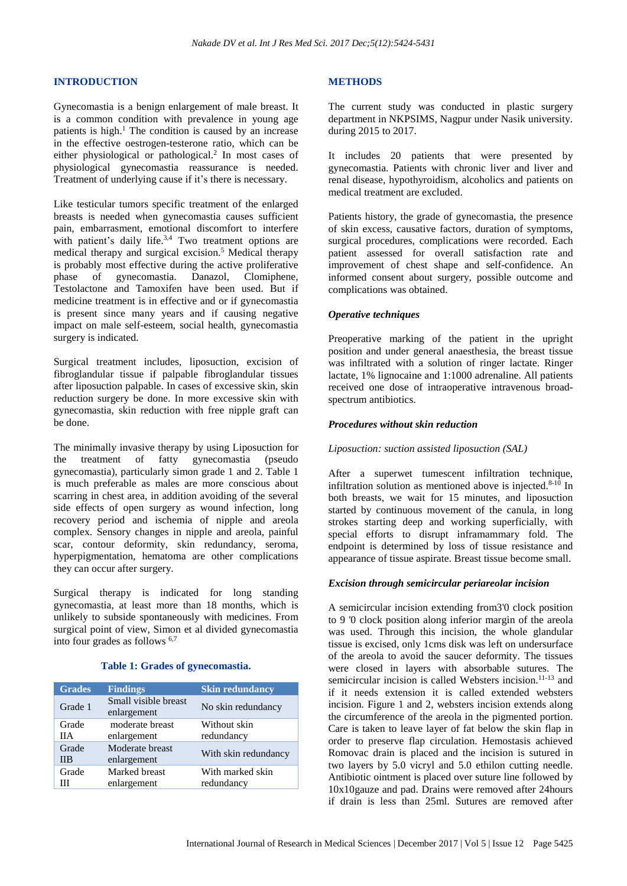# **INTRODUCTION**

Gynecomastia is a benign enlargement of male breast. It is a common condition with prevalence in young age patients is high.<sup>1</sup> The condition is caused by an increase in the effective oestrogen-testerone ratio, which can be either physiological or pathological.<sup>2</sup> In most cases of physiological gynecomastia reassurance is needed. Treatment of underlying cause if it's there is necessary.

Like testicular tumors specific treatment of the enlarged breasts is needed when gynecomastia causes sufficient pain, embarrasment, emotional discomfort to interfere with patient's daily life.<sup>3,4</sup> Two treatment options are medical therapy and surgical excision.<sup>5</sup> Medical therapy is probably most effective during the active proliferative phase of gynecomastia. Danazol, Clomiphene, Testolactone and Tamoxifen have been used. But if medicine treatment is in effective and or if gynecomastia is present since many years and if causing negative impact on male self-esteem, social health, gynecomastia surgery is indicated.

Surgical treatment includes, liposuction, excision of fibroglandular tissue if palpable fibroglandular tissues after liposuction palpable. In cases of excessive skin, skin reduction surgery be done. In more excessive skin with gynecomastia, skin reduction with free nipple graft can be done.

The minimally invasive therapy by using Liposuction for the treatment of fatty gynecomastia (pseudo gynecomastia), particularly simon grade 1 and 2. Table 1 is much preferable as males are more conscious about scarring in chest area, in addition avoiding of the several side effects of open surgery as wound infection, long recovery period and ischemia of nipple and areola complex. Sensory changes in nipple and areola, painful scar, contour deformity, skin redundancy, seroma, hyperpigmentation, hematoma are other complications they can occur after surgery.

Surgical therapy is indicated for long standing gynecomastia, at least more than 18 months, which is unlikely to subside spontaneously with medicines. From surgical point of view, Simon et al divided gynecomastia into four grades as follows 6,7

# **Table 1: Grades of gynecomastia.**

| <b>Grades</b> | <b>Findings</b>                     | <b>Skin redundancy</b>         |
|---------------|-------------------------------------|--------------------------------|
| Grade 1       | Small visible breast<br>enlargement | No skin redundancy             |
| Grade<br>HА   | moderate breast<br>enlargement      | Without skin<br>redundancy     |
| Grade<br>ШB   | Moderate breast<br>enlargement      | With skin redundancy           |
| Grade<br>Ш    | Marked breast<br>enlargement        | With marked skin<br>redundancy |

# **METHODS**

The current study was conducted in plastic surgery department in NKPSIMS, Nagpur under Nasik university. during 2015 to 2017.

It includes 20 patients that were presented by gynecomastia. Patients with chronic liver and liver and renal disease, hypothyroidism, alcoholics and patients on medical treatment are excluded.

Patients history, the grade of gynecomastia, the presence of skin excess, causative factors, duration of symptoms, surgical procedures, complications were recorded. Each patient assessed for overall satisfaction rate and improvement of chest shape and self-confidence. An informed consent about surgery, possible outcome and complications was obtained.

# *Operative techniques*

Preoperative marking of the patient in the upright position and under general anaesthesia, the breast tissue was infiltrated with a solution of ringer lactate. Ringer lactate, 1% lignocaine and 1:1000 adrenaline. All patients received one dose of intraoperative intravenous broadspectrum antibiotics.

# *Procedures without skin reduction*

# *Liposuction: suction assisted liposuction (SAL)*

After a superwet tumescent infiltration technique, infiltration solution as mentioned above is injected. $8-10$  In both breasts, we wait for 15 minutes, and liposuction started by continuous movement of the canula, in long strokes starting deep and working superficially, with special efforts to disrupt inframammary fold. The endpoint is determined by loss of tissue resistance and appearance of tissue aspirate. Breast tissue become small.

# *Excision through semicircular periareolar incision*

A semicircular incision extending from3'0 clock position to 9 '0 clock position along inferior margin of the areola was used. Through this incision, the whole glandular tissue is excised, only 1cms disk was left on undersurface of the areola to avoid the saucer deformity. The tissues were closed in layers with absorbable sutures. The semicircular incision is called Websters incision.<sup>11-13</sup> and if it needs extension it is called extended websters incision. Figure 1 and 2, websters incision extends along the circumference of the areola in the pigmented portion. Care is taken to leave layer of fat below the skin flap in order to preserve flap circulation. Hemostasis achieved Romovac drain is placed and the incision is sutured in two layers by 5.0 vicryl and 5.0 ethilon cutting needle. Antibiotic ointment is placed over suture line followed by 10x10gauze and pad. Drains were removed after 24hours if drain is less than 25ml. Sutures are removed after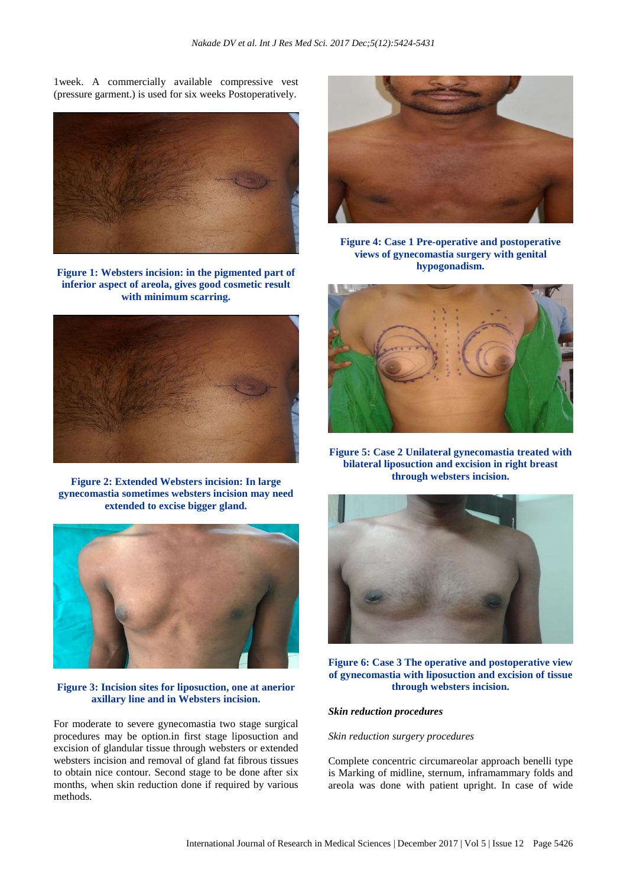1week. A commercially available compressive vest (pressure garment.) is used for six weeks Postoperatively.



**Figure 1: Websters incision: in the pigmented part of inferior aspect of areola, gives good cosmetic result with minimum scarring.**



**Figure 2: Extended Websters incision: In large gynecomastia sometimes websters incision may need extended to excise bigger gland.**



# **Figure 3: Incision sites for liposuction, one at anerior axillary line and in Websters incision.**

For moderate to severe gynecomastia two stage surgical procedures may be option.in first stage liposuction and excision of glandular tissue through websters or extended websters incision and removal of gland fat fibrous tissues to obtain nice contour. Second stage to be done after six months, when skin reduction done if required by various methods.



**Figure 4: Case 1 Pre-operative and postoperative views of gynecomastia surgery with genital hypogonadism.**



**Figure 5: Case 2 Unilateral gynecomastia treated with bilateral liposuction and excision in right breast through websters incision.**



**Figure 6: Case 3 The operative and postoperative view of gynecomastia with liposuction and excision of tissue through websters incision.**

# *Skin reduction procedures*

#### *Skin reduction surgery procedures*

Complete concentric circumareolar approach benelli type is Marking of midline, sternum, inframammary folds and areola was done with patient upright. In case of wide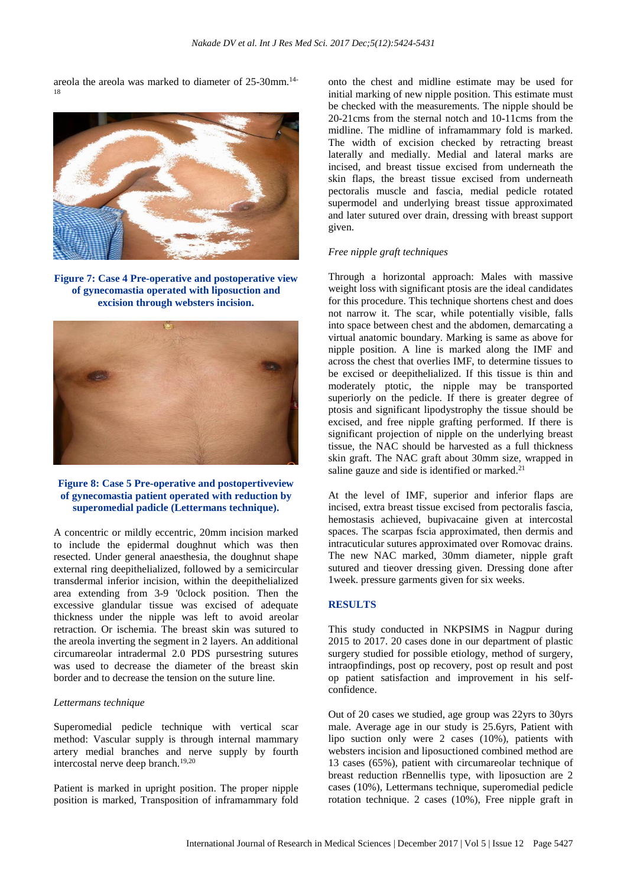areola the areola was marked to diameter of 25-30mm.14- 18



**Figure 7: Case 4 Pre-operative and postoperative view of gynecomastia operated with liposuction and excision through websters incision.**



# **Figure 8: Case 5 Pre-operative and postopertiveview of gynecomastia patient operated with reduction by superomedial padicle (Lettermans technique).**

A concentric or mildly eccentric, 20mm incision marked to include the epidermal doughnut which was then resected. Under general anaesthesia, the doughnut shape external ring deepithelialized, followed by a semicircular transdermal inferior incision, within the deepithelialized area extending from 3-9 '0clock position. Then the excessive glandular tissue was excised of adequate thickness under the nipple was left to avoid areolar retraction. Or ischemia. The breast skin was sutured to the areola inverting the segment in 2 layers. An additional circumareolar intradermal 2.0 PDS pursestring sutures was used to decrease the diameter of the breast skin border and to decrease the tension on the suture line.

# *Lettermans technique*

Superomedial pedicle technique with vertical scar method: Vascular supply is through internal mammary artery medial branches and nerve supply by fourth intercostal nerve deep branch.<sup>19,20</sup>

Patient is marked in upright position. The proper nipple position is marked, Transposition of inframammary fold onto the chest and midline estimate may be used for initial marking of new nipple position. This estimate must be checked with the measurements. The nipple should be 20-21cms from the sternal notch and 10-11cms from the midline. The midline of inframammary fold is marked. The width of excision checked by retracting breast laterally and medially. Medial and lateral marks are incised, and breast tissue excised from underneath the skin flaps, the breast tissue excised from underneath pectoralis muscle and fascia, medial pedicle rotated supermodel and underlying breast tissue approximated and later sutured over drain, dressing with breast support given.

#### *Free nipple graft techniques*

Through a horizontal approach: Males with massive weight loss with significant ptosis are the ideal candidates for this procedure. This technique shortens chest and does not narrow it. The scar, while potentially visible, falls into space between chest and the abdomen, demarcating a virtual anatomic boundary. Marking is same as above for nipple position. A line is marked along the IMF and across the chest that overlies IMF, to determine tissues to be excised or deepithelialized. If this tissue is thin and moderately ptotic, the nipple may be transported superiorly on the pedicle. If there is greater degree of ptosis and significant lipodystrophy the tissue should be excised, and free nipple grafting performed. If there is significant projection of nipple on the underlying breast tissue, the NAC should be harvested as a full thickness skin graft. The NAC graft about 30mm size, wrapped in saline gauze and side is identified or marked.<sup>21</sup>

At the level of IMF, superior and inferior flaps are incised, extra breast tissue excised from pectoralis fascia, hemostasis achieved, bupivacaine given at intercostal spaces. The scarpas fscia approximated, then dermis and intracuticular sutures approximated over Romovac drains. The new NAC marked, 30mm diameter, nipple graft sutured and tieover dressing given. Dressing done after 1week. pressure garments given for six weeks.

#### **RESULTS**

This study conducted in NKPSIMS in Nagpur during 2015 to 2017. 20 cases done in our department of plastic surgery studied for possible etiology, method of surgery, intraopfindings, post op recovery, post op result and post op patient satisfaction and improvement in his selfconfidence.

Out of 20 cases we studied, age group was 22yrs to 30yrs male. Average age in our study is 25.6yrs, Patient with lipo suction only were 2 cases (10%), patients with websters incision and liposuctioned combined method are 13 cases (65%), patient with circumareolar technique of breast reduction rBennellis type, with liposuction are 2 cases (10%), Lettermans technique, superomedial pedicle rotation technique. 2 cases (10%), Free nipple graft in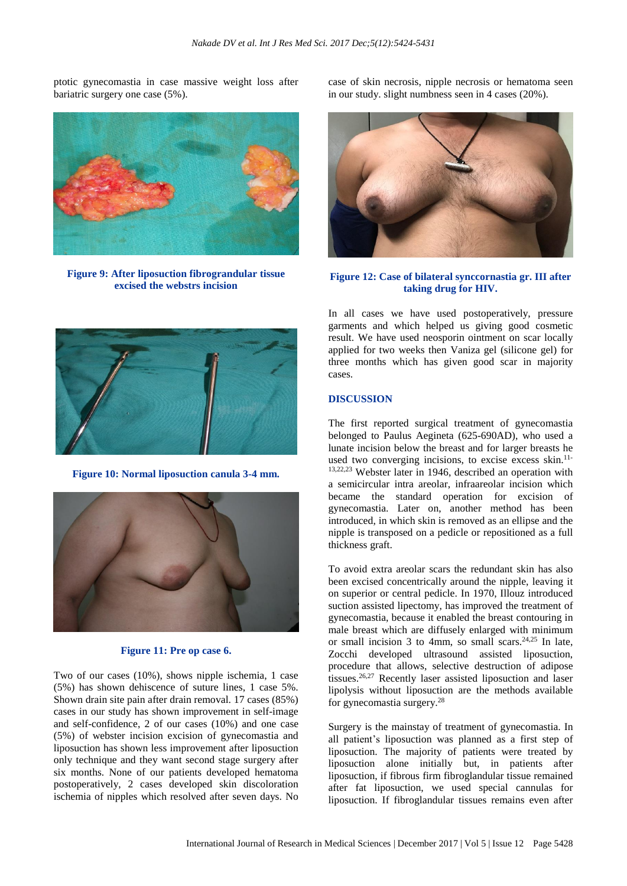ptotic gynecomastia in case massive weight loss after bariatric surgery one case (5%).



**Figure 9: After liposuction fibrograndular tissue excised the webstrs incision**

case of skin necrosis, nipple necrosis or hematoma seen in our study. slight numbness seen in 4 cases (20%).



# **Figure 12: Case of bilateral synccornastia gr. III after taking drug for HIV.**

In all cases we have used postoperatively, pressure garments and which helped us giving good cosmetic result. We have used neosporin ointment on scar locally applied for two weeks then Vaniza gel (silicone gel) for three months which has given good scar in majority cases.

# **DISCUSSION**

The first reported surgical treatment of gynecomastia belonged to Paulus Aegineta (625-690AD), who used a lunate incision below the breast and for larger breasts he used two converging incisions, to excise excess skin.<sup>11-</sup> 13,22,23 Webster later in 1946, described an operation with a semicircular intra areolar, infraareolar incision which became the standard operation for excision of gynecomastia. Later on, another method has been introduced, in which skin is removed as an ellipse and the nipple is transposed on a pedicle or repositioned as a full thickness graft.

To avoid extra areolar scars the redundant skin has also been excised concentrically around the nipple, leaving it on superior or central pedicle. In 1970, Illouz introduced suction assisted lipectomy, has improved the treatment of gynecomastia, because it enabled the breast contouring in male breast which are diffusely enlarged with minimum or small incision 3 to 4mm, so small scars. $24.25$  In late, Zocchi developed ultrasound assisted liposuction, procedure that allows, selective destruction of adipose tissues.26,27 Recently laser assisted liposuction and laser lipolysis without liposuction are the methods available for gynecomastia surgery.<sup>28</sup>

Surgery is the mainstay of treatment of gynecomastia. In all patient's liposuction was planned as a first step of liposuction. The majority of patients were treated by liposuction alone initially but, in patients after liposuction, if fibrous firm fibroglandular tissue remained after fat liposuction, we used special cannulas for liposuction. If fibroglandular tissues remains even after



**Figure 10: Normal liposuction canula 3-4 mm.**



# **Figure 11: Pre op case 6.**

Two of our cases (10%), shows nipple ischemia, 1 case (5%) has shown dehiscence of suture lines, 1 case 5%. Shown drain site pain after drain removal. 17 cases (85%) cases in our study has shown improvement in self-image and self-confidence, 2 of our cases (10%) and one case (5%) of webster incision excision of gynecomastia and liposuction has shown less improvement after liposuction only technique and they want second stage surgery after six months. None of our patients developed hematoma postoperatively, 2 cases developed skin discoloration ischemia of nipples which resolved after seven days. No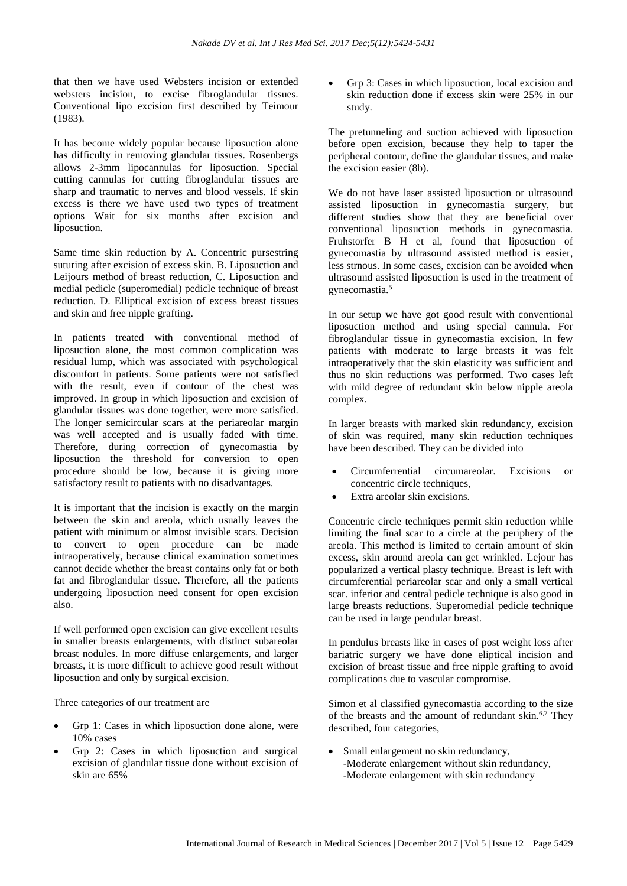that then we have used Websters incision or extended websters incision, to excise fibroglandular tissues. Conventional lipo excision first described by Teimour (1983).

It has become widely popular because liposuction alone has difficulty in removing glandular tissues. Rosenbergs allows 2-3mm lipocannulas for liposuction. Special cutting cannulas for cutting fibroglandular tissues are sharp and traumatic to nerves and blood vessels. If skin excess is there we have used two types of treatment options Wait for six months after excision and liposuction.

Same time skin reduction by A. Concentric pursestring suturing after excision of excess skin. B. Liposuction and Leijours method of breast reduction, C. Liposuction and medial pedicle (superomedial) pedicle technique of breast reduction. D. Elliptical excision of excess breast tissues and skin and free nipple grafting.

In patients treated with conventional method of liposuction alone, the most common complication was residual lump, which was associated with psychological discomfort in patients. Some patients were not satisfied with the result, even if contour of the chest was improved. In group in which liposuction and excision of glandular tissues was done together, were more satisfied. The longer semicircular scars at the periareolar margin was well accepted and is usually faded with time. Therefore, during correction of gynecomastia by liposuction the threshold for conversion to open procedure should be low, because it is giving more satisfactory result to patients with no disadvantages.

It is important that the incision is exactly on the margin between the skin and areola, which usually leaves the patient with minimum or almost invisible scars. Decision to convert to open procedure can be made intraoperatively, because clinical examination sometimes cannot decide whether the breast contains only fat or both fat and fibroglandular tissue. Therefore, all the patients undergoing liposuction need consent for open excision also.

If well performed open excision can give excellent results in smaller breasts enlargements, with distinct subareolar breast nodules. In more diffuse enlargements, and larger breasts, it is more difficult to achieve good result without liposuction and only by surgical excision.

Three categories of our treatment are

- Grp 1: Cases in which liposuction done alone, were 10% cases
- Grp 2: Cases in which liposuction and surgical excision of glandular tissue done without excision of skin are 65%

• Grp 3: Cases in which liposuction, local excision and skin reduction done if excess skin were 25% in our study.

The pretunneling and suction achieved with liposuction before open excision, because they help to taper the peripheral contour, define the glandular tissues, and make the excision easier (8b).

We do not have laser assisted liposuction or ultrasound assisted liposuction in gynecomastia surgery, but different studies show that they are beneficial over conventional liposuction methods in gynecomastia. Fruhstorfer B H et al, found that liposuction of gynecomastia by ultrasound assisted method is easier, less strnous. In some cases, excision can be avoided when ultrasound assisted liposuction is used in the treatment of gynecomastia.<sup>5</sup>

In our setup we have got good result with conventional liposuction method and using special cannula. For fibroglandular tissue in gynecomastia excision. In few patients with moderate to large breasts it was felt intraoperatively that the skin elasticity was sufficient and thus no skin reductions was performed. Two cases left with mild degree of redundant skin below nipple areola complex.

In larger breasts with marked skin redundancy, excision of skin was required, many skin reduction techniques have been described. They can be divided into

- Circumferrential circumareolar. Excisions or concentric circle techniques,
- Extra areolar skin excisions.

Concentric circle techniques permit skin reduction while limiting the final scar to a circle at the periphery of the areola. This method is limited to certain amount of skin excess, skin around areola can get wrinkled. Lejour has popularized a vertical plasty technique. Breast is left with circumferential periareolar scar and only a small vertical scar. inferior and central pedicle technique is also good in large breasts reductions. Superomedial pedicle technique can be used in large pendular breast.

In pendulus breasts like in cases of post weight loss after bariatric surgery we have done eliptical incision and excision of breast tissue and free nipple grafting to avoid complications due to vascular compromise.

Simon et al classified gynecomastia according to the size of the breasts and the amount of redundant skin.<sup>6,7</sup> They described, four categories,

• Small enlargement no skin redundancy, -Moderate enlargement without skin redundancy, -Moderate enlargement with skin redundancy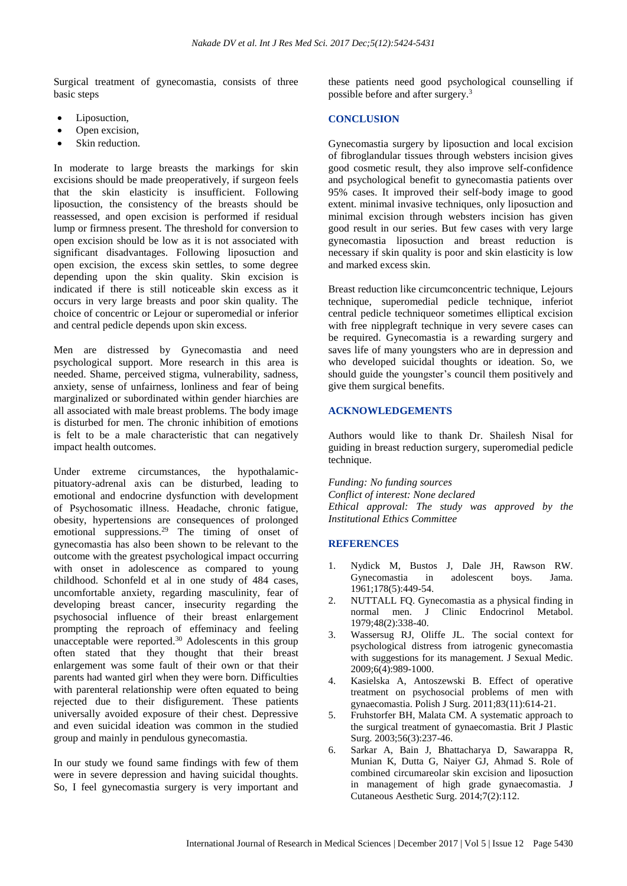Surgical treatment of gynecomastia, consists of three basic steps

- Liposuction,
- Open excision,
- Skin reduction.

In moderate to large breasts the markings for skin excisions should be made preoperatively, if surgeon feels that the skin elasticity is insufficient. Following liposuction, the consistency of the breasts should be reassessed, and open excision is performed if residual lump or firmness present. The threshold for conversion to open excision should be low as it is not associated with significant disadvantages. Following liposuction and open excision, the excess skin settles, to some degree depending upon the skin quality. Skin excision is indicated if there is still noticeable skin excess as it occurs in very large breasts and poor skin quality. The choice of concentric or Lejour or superomedial or inferior and central pedicle depends upon skin excess.

Men are distressed by Gynecomastia and need psychological support. More research in this area is needed. Shame, perceived stigma, vulnerability, sadness, anxiety, sense of unfairness, lonliness and fear of being marginalized or subordinated within gender hiarchies are all associated with male breast problems. The body image is disturbed for men. The chronic inhibition of emotions is felt to be a male characteristic that can negatively impact health outcomes.

Under extreme circumstances, the hypothalamicpituatory-adrenal axis can be disturbed, leading to emotional and endocrine dysfunction with development of Psychosomatic illness. Headache, chronic fatigue, obesity, hypertensions are consequences of prolonged emotional suppressions.<sup>29</sup> The timing of onset of gynecomastia has also been shown to be relevant to the outcome with the greatest psychological impact occurring with onset in adolescence as compared to young childhood. Schonfeld et al in one study of 484 cases, uncomfortable anxiety, regarding masculinity, fear of developing breast cancer, insecurity regarding the psychosocial influence of their breast enlargement prompting the reproach of effeminacy and feeling unacceptable were reported.<sup>30</sup> Adolescents in this group often stated that they thought that their breast enlargement was some fault of their own or that their parents had wanted girl when they were born. Difficulties with parenteral relationship were often equated to being rejected due to their disfigurement. These patients universally avoided exposure of their chest. Depressive and even suicidal ideation was common in the studied group and mainly in pendulous gynecomastia.

In our study we found same findings with few of them were in severe depression and having suicidal thoughts. So, I feel gynecomastia surgery is very important and these patients need good psychological counselling if possible before and after surgery.<sup>3</sup>

# **CONCLUSION**

Gynecomastia surgery by liposuction and local excision of fibroglandular tissues through websters incision gives good cosmetic result, they also improve self-confidence and psychological benefit to gynecomastia patients over 95% cases. It improved their self-body image to good extent. minimal invasive techniques, only liposuction and minimal excision through websters incision has given good result in our series. But few cases with very large gynecomastia liposuction and breast reduction is necessary if skin quality is poor and skin elasticity is low and marked excess skin.

Breast reduction like circumconcentric technique, Lejours technique, superomedial pedicle technique, inferiot central pedicle techniqueor sometimes elliptical excision with free nipplegraft technique in very severe cases can be required. Gynecomastia is a rewarding surgery and saves life of many youngsters who are in depression and who developed suicidal thoughts or ideation. So, we should guide the youngster's council them positively and give them surgical benefits.

# **ACKNOWLEDGEMENTS**

Authors would like to thank Dr. Shailesh Nisal for guiding in breast reduction surgery, superomedial pedicle technique.

*Funding: No funding sources Conflict of interest: None declared Ethical approval: The study was approved by the Institutional Ethics Committee*

#### **REFERENCES**

- 1. Nydick M, Bustos J, Dale JH, Rawson RW. Gynecomastia in adolescent boys. Jama. 1961;178(5):449-54.
- 2. NUTTALL FQ. Gynecomastia as a physical finding in normal men. J Clinic Endocrinol Metabol. 1979;48(2):338-40.
- 3. Wassersug RJ, Oliffe JL. The social context for psychological distress from iatrogenic gynecomastia with suggestions for its management. J Sexual Medic. 2009;6(4):989-1000.
- 4. Kasielska A, Antoszewski B. Effect of operative treatment on psychosocial problems of men with gynaecomastia. Polish J Surg. 2011;83(11):614-21.
- 5. Fruhstorfer BH, Malata CM. A systematic approach to the surgical treatment of gynaecomastia. Brit J Plastic Surg. 2003;56(3):237-46.
- 6. Sarkar A, Bain J, Bhattacharya D, Sawarappa R, Munian K, Dutta G, Naiyer GJ, Ahmad S. Role of combined circumareolar skin excision and liposuction in management of high grade gynaecomastia. J Cutaneous Aesthetic Surg. 2014;7(2):112.